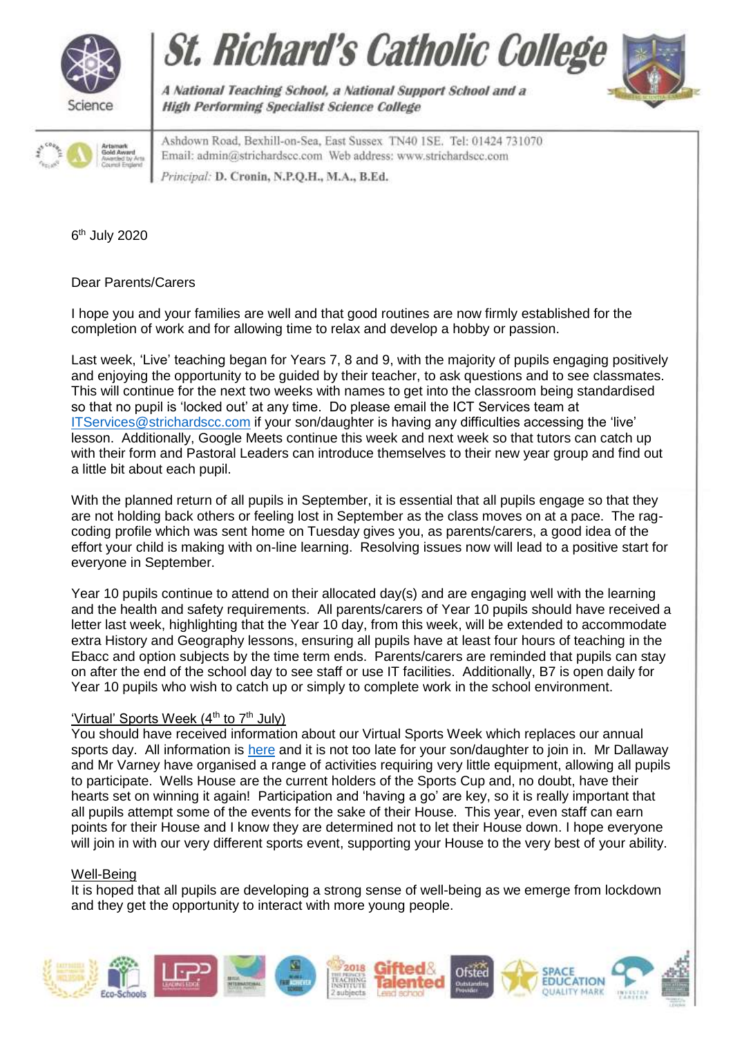







A National Teaching School, a National Support School and a **High Performing Specialist Science College** 

Ashdown Road, Bexhill-on-Sea, East Sussex TN40 1SE. Tel: 01424 731070 Email: admin@strichardscc.com Web address: www.strichardscc.com Principal: D. Cronin, N.P.Q.H., M.A., B.Ed.

6<sup>th</sup> July 2020

Dear Parents/Carers

I hope you and your families are well and that good routines are now firmly established for the completion of work and for allowing time to relax and develop a hobby or passion.

Last week, 'Live' teaching began for Years 7, 8 and 9, with the majority of pupils engaging positively and enjoying the opportunity to be guided by their teacher, to ask questions and to see classmates. This will continue for the next two weeks with names to get into the classroom being standardised so that no pupil is 'locked out' at any time. Do please email the ICT Services team at [ITServices@strichardscc.com](mailto:ITServices@strichardscc.com) if your son/daughter is having any difficulties accessing the 'live' lesson. Additionally, Google Meets continue this week and next week so that tutors can catch up with their form and Pastoral Leaders can introduce themselves to their new year group and find out a little bit about each pupil.

With the planned return of all pupils in September, it is essential that all pupils engage so that they are not holding back others or feeling lost in September as the class moves on at a pace. The ragcoding profile which was sent home on Tuesday gives you, as parents/carers, a good idea of the effort your child is making with on-line learning. Resolving issues now will lead to a positive start for everyone in September.

Year 10 pupils continue to attend on their allocated day(s) and are engaging well with the learning and the health and safety requirements. All parents/carers of Year 10 pupils should have received a letter last week, highlighting that the Year 10 day, from this week, will be extended to accommodate extra History and Geography lessons, ensuring all pupils have at least four hours of teaching in the Ebacc and option subjects by the time term ends. Parents/carers are reminded that pupils can stay on after the end of the school day to see staff or use IT facilities. Additionally, B7 is open daily for Year 10 pupils who wish to catch up or simply to complete work in the school environment.

## 'Virtual' Sports Week (4<sup>th</sup> to 7<sup>th</sup> July)

You should have received information about our Virtual Sports Week which replaces our annual sports day. All information is [here](https://drive.google.com/file/d/1grm30GTGgBLqio9uZjsq76o6N41rkEoW/view?usp=sharing) and it is not too late for your son/daughter to join in. Mr Dallaway and Mr Varney have organised a range of activities requiring very little equipment, allowing all pupils to participate. Wells House are the current holders of the Sports Cup and, no doubt, have their hearts set on winning it again! Participation and 'having a go' are key, so it is really important that all pupils attempt some of the events for the sake of their House. This year, even staff can earn points for their House and I know they are determined not to let their House down. I hope everyone will join in with our very different sports event, supporting your House to the very best of your ability.

## Well-Being

It is hoped that all pupils are developing a strong sense of well-being as we emerge from lockdown and they get the opportunity to interact with more young people.